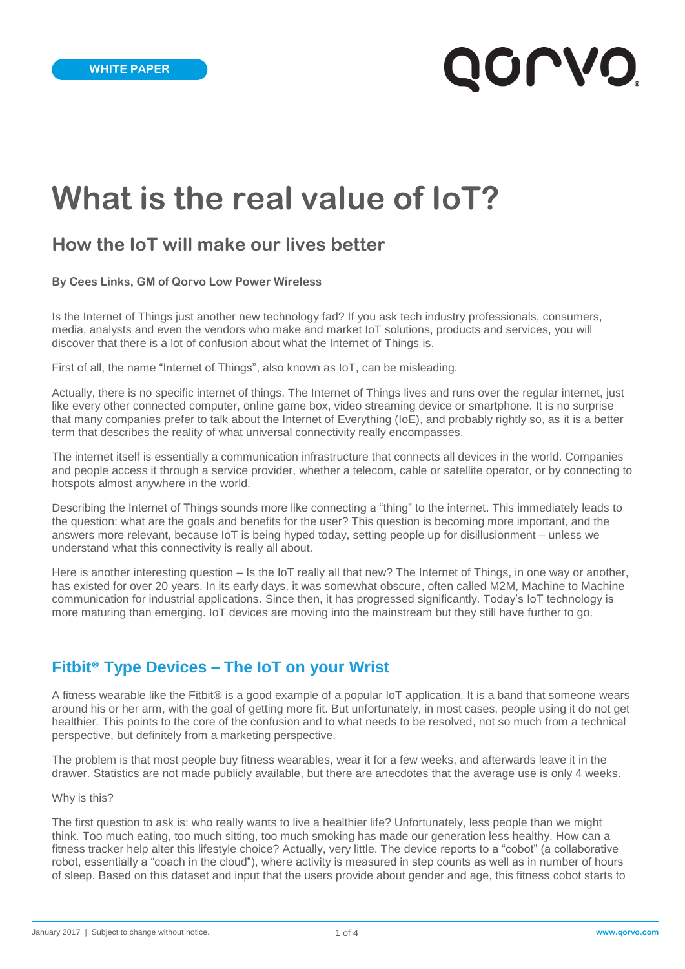# **JOLVO**

# **What is the real value of IoT?**

# **How the IoT will make our lives better**

#### **By Cees Links, GM of Qorvo Low Power Wireless**

Is the Internet of Things just another new technology fad? If you ask tech industry professionals, consumers, media, analysts and even the vendors who make and market IoT solutions, products and services, you will discover that there is a lot of confusion about what the Internet of Things is.

First of all, the name "Internet of Things", also known as IoT, can be misleading.

Actually, there is no specific internet of things. The Internet of Things lives and runs over the regular internet, just like every other connected computer, online game box, video streaming device or smartphone. It is no surprise that many companies prefer to talk about the Internet of Everything (IoE), and probably rightly so, as it is a better term that describes the reality of what universal connectivity really encompasses.

The internet itself is essentially a communication infrastructure that connects all devices in the world. Companies and people access it through a service provider, whether a telecom, cable or satellite operator, or by connecting to hotspots almost anywhere in the world.

Describing the Internet of Things sounds more like connecting a "thing" to the internet. This immediately leads to the question: what are the goals and benefits for the user? This question is becoming more important, and the answers more relevant, because IoT is being hyped today, setting people up for disillusionment – unless we understand what this connectivity is really all about.

Here is another interesting question – Is the IoT really all that new? The Internet of Things, in one way or another, has existed for over 20 years. In its early days, it was somewhat obscure, often called M2M, Machine to Machine communication for industrial applications. Since then, it has progressed significantly. Today's IoT technology is more maturing than emerging. IoT devices are moving into the mainstream but they still have further to go.

#### **Fitbit® Type Devices – The IoT on your Wrist**

A fitness wearable like the Fitbit® is a good example of a popular IoT application. It is a band that someone wears around his or her arm, with the goal of getting more fit. But unfortunately, in most cases, people using it do not get healthier. This points to the core of the confusion and to what needs to be resolved, not so much from a technical perspective, but definitely from a marketing perspective.

The problem is that most people buy fitness wearables, wear it for a few weeks, and afterwards leave it in the drawer. Statistics are not made publicly available, but there are anecdotes that the average use is only 4 weeks.

#### Why is this?

The first question to ask is: who really wants to live a healthier life? Unfortunately, less people than we might think. Too much eating, too much sitting, too much smoking has made our generation less healthy. How can a fitness tracker help alter this lifestyle choice? Actually, very little. The device reports to a "cobot" (a collaborative robot, essentially a "coach in the cloud"), where activity is measured in step counts as well as in number of hours of sleep. Based on this dataset and input that the users provide about gender and age, this fitness cobot starts to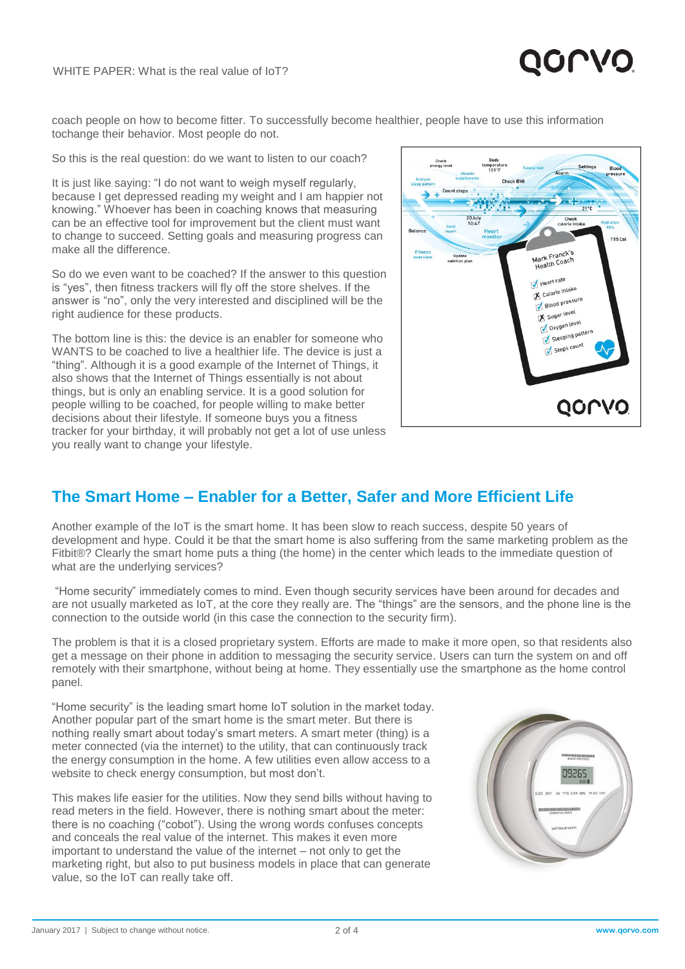

coach people on how to become fitter. To successfully become healthier, people have to use this information tochange their behavior. Most people do not.

So this is the real question: do we want to listen to our coach?

It is just like saying: "I do not want to weigh myself regularly, because I get depressed reading my weight and I am happier not knowing." Whoever has been in coaching knows that measuring can be an effective tool for improvement but the client must want to change to succeed. Setting goals and measuring progress can make all the difference.

So do we even want to be coached? If the answer to this question is "yes", then fitness trackers will fly off the store shelves. If the answer is "no", only the very interested and disciplined will be the right audience for these products.

The bottom line is this: the device is an enabler for someone who WANTS to be coached to live a healthier life. The device is just a "thing". Although it is a good example of the Internet of Things, it also shows that the Internet of Things essentially is not about things, but is only an enabling service. It is a good solution for people willing to be coached, for people willing to make better decisions about their lifestyle. If someone buys you a fitness tracker for your birthday, it will probably not get a lot of use unless you really want to change your lifestyle.



### **The Smart Home – Enabler for a Better, Safer and More Efficient Life**

Another example of the IoT is the smart home. It has been slow to reach success, despite 50 years of development and hype. Could it be that the smart home is also suffering from the same marketing problem as the Fitbit®? Clearly the smart home puts a thing (the home) in the center which leads to the immediate question of what are the underlying services?

"Home security" immediately comes to mind. Even though security services have been around for decades and are not usually marketed as IoT, at the core they really are. The "things" are the sensors, and the phone line is the connection to the outside world (in this case the connection to the security firm).

The problem is that it is a closed proprietary system. Efforts are made to make it more open, so that residents also get a message on their phone in addition to messaging the security service. Users can turn the system on and off remotely with their smartphone, without being at home. They essentially use the smartphone as the home control panel.

"Home security" is the leading smart home IoT solution in the market today. Another popular part of the smart home is the smart meter. But there is nothing really smart about today's smart meters. A smart meter (thing) is a meter connected (via the internet) to the utility, that can continuously track the energy consumption in the home. A few utilities even allow access to a website to check energy consumption, but most don't.

This makes life easier for the utilities. Now they send bills without having to read meters in the field. However, there is nothing smart about the meter: there is no coaching ("cobot"). Using the wrong words confuses concepts and conceals the real value of the internet. This makes it even more important to understand the value of the internet – not only to get the marketing right, but also to put business models in place that can generate value, so the IoT can really take off.

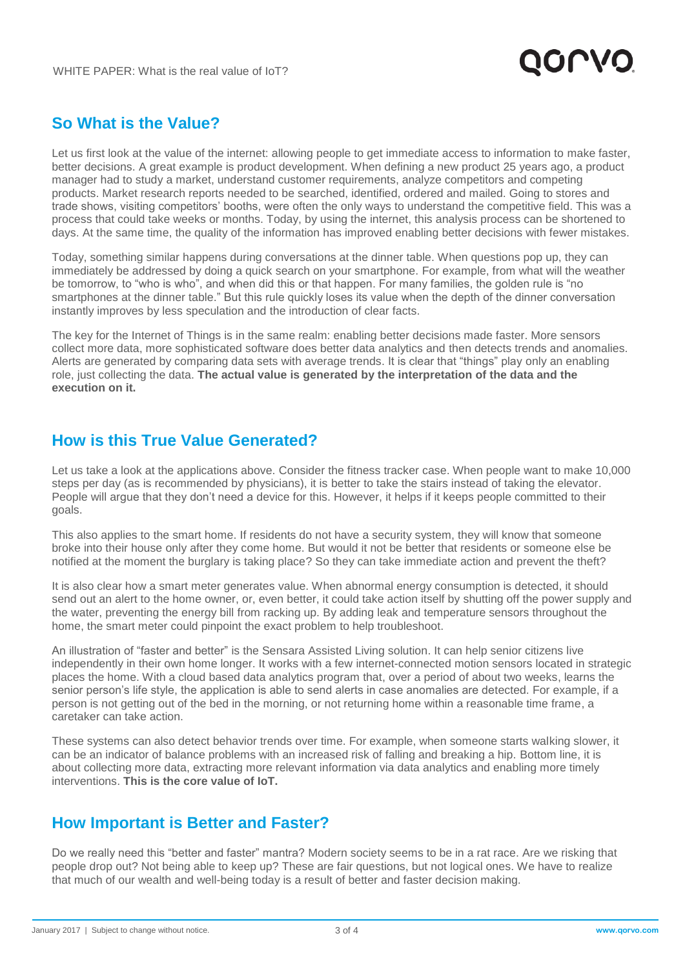

## **So What is the Value?**

Let us first look at the value of the internet: allowing people to get immediate access to information to make faster, better decisions. A great example is product development. When defining a new product 25 years ago, a product manager had to study a market, understand customer requirements, analyze competitors and competing products. Market research reports needed to be searched, identified, ordered and mailed. Going to stores and trade shows, visiting competitors' booths, were often the only ways to understand the competitive field. This was a process that could take weeks or months. Today, by using the internet, this analysis process can be shortened to days. At the same time, the quality of the information has improved enabling better decisions with fewer mistakes.

Today, something similar happens during conversations at the dinner table. When questions pop up, they can immediately be addressed by doing a quick search on your smartphone. For example, from what will the weather be tomorrow, to "who is who", and when did this or that happen. For many families, the golden rule is "no smartphones at the dinner table." But this rule quickly loses its value when the depth of the dinner conversation instantly improves by less speculation and the introduction of clear facts.

The key for the Internet of Things is in the same realm: enabling better decisions made faster. More sensors collect more data, more sophisticated software does better data analytics and then detects trends and anomalies. Alerts are generated by comparing data sets with average trends. It is clear that "things" play only an enabling role, just collecting the data. **The actual value is generated by the interpretation of the data and the execution on it.**

#### **How is this True Value Generated?**

Let us take a look at the applications above. Consider the fitness tracker case. When people want to make 10,000 steps per day (as is recommended by physicians), it is better to take the stairs instead of taking the elevator. People will argue that they don't need a device for this. However, it helps if it keeps people committed to their goals.

This also applies to the smart home. If residents do not have a security system, they will know that someone broke into their house only after they come home. But would it not be better that residents or someone else be notified at the moment the burglary is taking place? So they can take immediate action and prevent the theft?

It is also clear how a smart meter generates value. When abnormal energy consumption is detected, it should send out an alert to the home owner, or, even better, it could take action itself by shutting off the power supply and the water, preventing the energy bill from racking up. By adding leak and temperature sensors throughout the home, the smart meter could pinpoint the exact problem to help troubleshoot.

An illustration of "faster and better" is the Sensara Assisted Living solution. It can help senior citizens live independently in their own home longer. It works with a few internet-connected motion sensors located in strategic places the home. With a cloud based data analytics program that, over a period of about two weeks, learns the senior person's life style, the application is able to send alerts in case anomalies are detected. For example, if a person is not getting out of the bed in the morning, or not returning home within a reasonable time frame, a caretaker can take action.

These systems can also detect behavior trends over time. For example, when someone starts walking slower, it can be an indicator of balance problems with an increased risk of falling and breaking a hip. Bottom line, it is about collecting more data, extracting more relevant information via data analytics and enabling more timely interventions. **This is the core value of IoT.**

### **How Important is Better and Faster?**

Do we really need this "better and faster" mantra? Modern society seems to be in a rat race. Are we risking that people drop out? Not being able to keep up? These are fair questions, but not logical ones. We have to realize that much of our wealth and well-being today is a result of better and faster decision making.